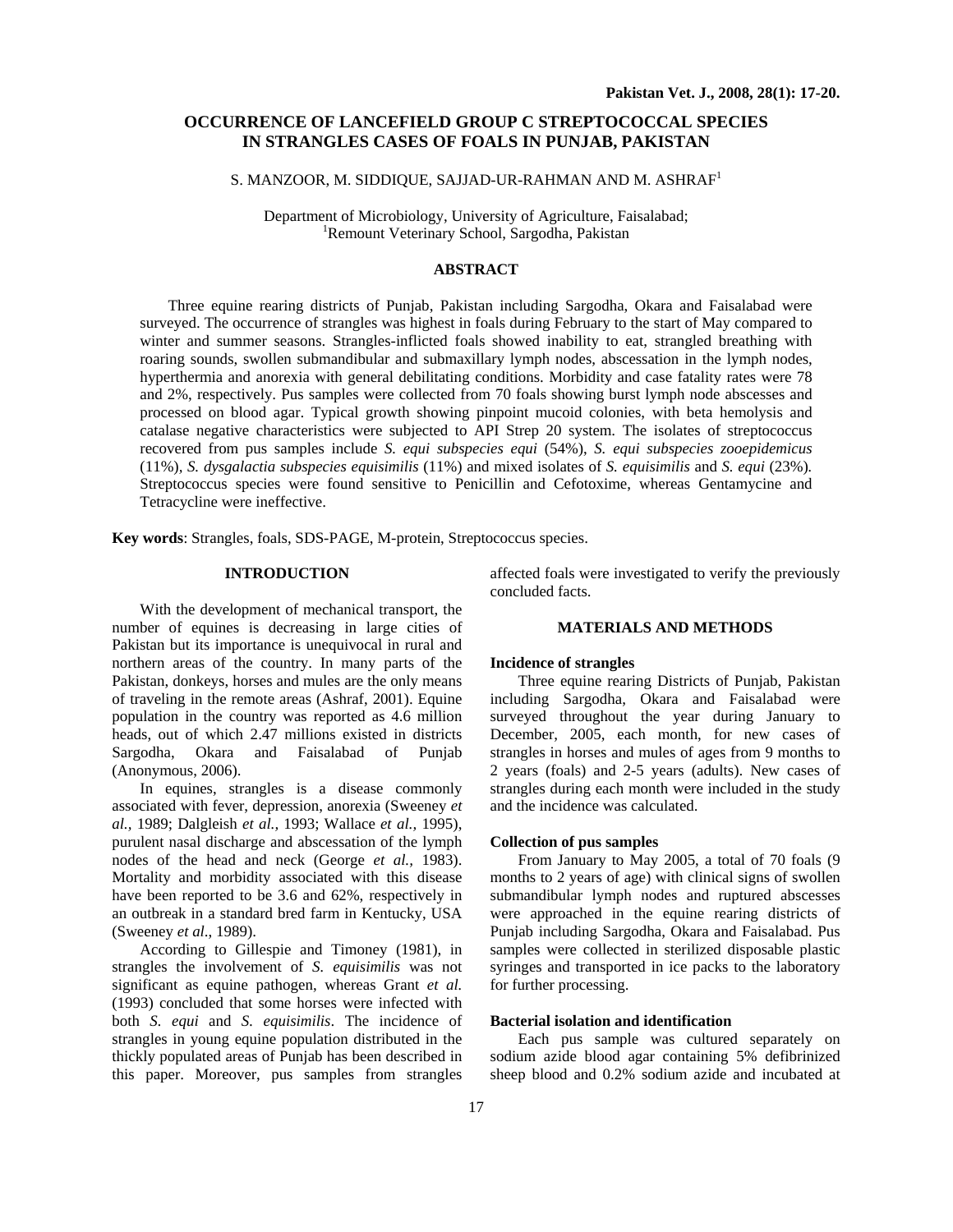# **OCCURRENCE OF LANCEFIELD GROUP C STREPTOCOCCAL SPECIES IN STRANGLES CASES OF FOALS IN PUNJAB, PAKISTAN**

# S. MANZOOR, M. SIDDIQUE, SAJJAD-UR-RAHMAN AND M. ASHRAF<sup>1</sup>

Department of Microbiology, University of Agriculture, Faisalabad; 1 Remount Veterinary School, Sargodha, Pakistan

#### **ABSTRACT**

Three equine rearing districts of Punjab, Pakistan including Sargodha, Okara and Faisalabad were surveyed. The occurrence of strangles was highest in foals during February to the start of May compared to winter and summer seasons. Strangles-inflicted foals showed inability to eat, strangled breathing with roaring sounds, swollen submandibular and submaxillary lymph nodes, abscessation in the lymph nodes, hyperthermia and anorexia with general debilitating conditions. Morbidity and case fatality rates were 78 and 2%, respectively. Pus samples were collected from 70 foals showing burst lymph node abscesses and processed on blood agar. Typical growth showing pinpoint mucoid colonies, with beta hemolysis and catalase negative characteristics were subjected to API Strep 20 system. The isolates of streptococcus recovered from pus samples include *S. equi subspecies equi* (54%), *S. equi subspecies zooepidemicus*  (11%)*, S. dysgalactia subspecies equisimilis* (11%) and mixed isolates of *S. equisimilis* and *S. equi* (23%)*.*  Streptococcus species were found sensitive to Penicillin and Cefotoxime, whereas Gentamycine and Tetracycline were ineffective.

**Key words**: Strangles, foals, SDS-PAGE, M-protein, Streptococcus species.

## **INTRODUCTION**

With the development of mechanical transport, the number of equines is decreasing in large cities of Pakistan but its importance is unequivocal in rural and northern areas of the country. In many parts of the Pakistan, donkeys, horses and mules are the only means of traveling in the remote areas (Ashraf, 2001). Equine population in the country was reported as 4.6 million heads, out of which 2.47 millions existed in districts Sargodha, Okara and Faisalabad of Punjab (Anonymous, 2006).

In equines, strangles is a disease commonly associated with fever, depression, anorexia (Sweeney *et al.,* 1989; Dalgleish *et al.,* 1993; Wallace *et al.,* 1995), purulent nasal discharge and abscessation of the lymph nodes of the head and neck (George *et al.,* 1983). Mortality and morbidity associated with this disease have been reported to be 3.6 and 62%, respectively in an outbreak in a standard bred farm in Kentucky, USA (Sweeney *et al*., 1989).

According to Gillespie and Timoney (1981), in strangles the involvement of *S. equisimilis* was not significant as equine pathogen, whereas Grant *et al.* (1993) concluded that some horses were infected with both *S. equi* and *S. equisimilis*. The incidence of strangles in young equine population distributed in the thickly populated areas of Punjab has been described in this paper. Moreover, pus samples from strangles

affected foals were investigated to verify the previously concluded facts.

#### **MATERIALS AND METHODS**

#### **Incidence of strangles**

Three equine rearing Districts of Punjab, Pakistan including Sargodha, Okara and Faisalabad were surveyed throughout the year during January to December, 2005, each month, for new cases of strangles in horses and mules of ages from 9 months to 2 years (foals) and 2-5 years (adults). New cases of strangles during each month were included in the study and the incidence was calculated.

#### **Collection of pus samples**

From January to May 2005, a total of 70 foals (9 months to 2 years of age) with clinical signs of swollen submandibular lymph nodes and ruptured abscesses were approached in the equine rearing districts of Punjab including Sargodha, Okara and Faisalabad. Pus samples were collected in sterilized disposable plastic syringes and transported in ice packs to the laboratory for further processing.

#### **Bacterial isolation and identification**

Each pus sample was cultured separately on sodium azide blood agar containing 5% defibrinized sheep blood and 0.2% sodium azide and incubated at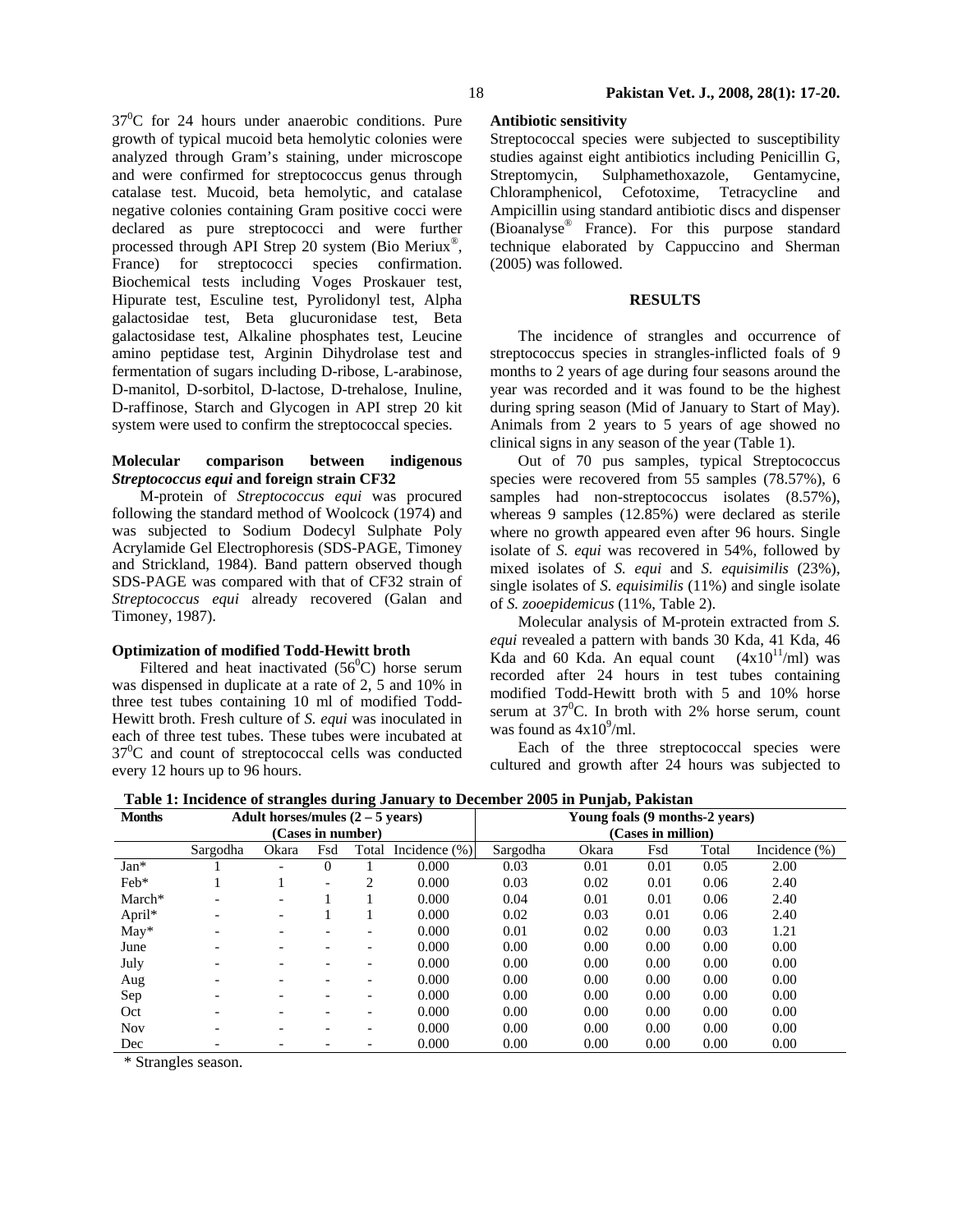$37^0$ C for 24 hours under anaerobic conditions. Pure growth of typical mucoid beta hemolytic colonies were analyzed through Gram's staining, under microscope and were confirmed for streptococcus genus through catalase test. Mucoid, beta hemolytic, and catalase negative colonies containing Gram positive cocci were declared as pure streptococci and were further processed through API Strep 20 system (Bio Meriux®, France) for streptococci species confirmation. Biochemical tests including Voges Proskauer test, Hipurate test, Esculine test, Pyrolidonyl test, Alpha galactosidae test, Beta glucuronidase test, Beta galactosidase test, Alkaline phosphates test, Leucine amino peptidase test, Arginin Dihydrolase test and fermentation of sugars including D-ribose, L-arabinose, D-manitol, D-sorbitol, D-lactose, D-trehalose, Inuline, D-raffinose, Starch and Glycogen in API strep 20 kit system were used to confirm the streptococcal species.

### **Molecular comparison between indigenous**  *Streptococcus equi* **and foreign strain CF32**

M-protein of *Streptococcus equi* was procured following the standard method of Woolcock (1974) and was subjected to Sodium Dodecyl Sulphate Poly Acrylamide Gel Electrophoresis (SDS-PAGE, Timoney and Strickland, 1984). Band pattern observed though SDS-PAGE was compared with that of CF32 strain of *Streptococcus equi* already recovered (Galan and Timoney, 1987).

### **Optimization of modified Todd-Hewitt broth**

Filtered and heat inactivated  $(56^{\circ}C)$  horse serum was dispensed in duplicate at a rate of 2, 5 and 10% in three test tubes containing 10 ml of modified Todd-Hewitt broth. Fresh culture of *S. equi* was inoculated in each of three test tubes. These tubes were incubated at  $37^0$ C and count of streptococcal cells was conducted every 12 hours up to 96 hours.

### **Antibiotic sensitivity**

Streptococcal species were subjected to susceptibility studies against eight antibiotics including Penicillin G,<br>Streptomycin, Sulphamethoxazole, Gentamycine, Sulphamethoxazole, Gentamycine, Chloramphenicol, Cefotoxime, Tetracycline and Ampicillin using standard antibiotic discs and dispenser (Bioanalyse® France). For this purpose standard technique elaborated by Cappuccino and Sherman (2005) was followed.

# **RESULTS**

The incidence of strangles and occurrence of streptococcus species in strangles-inflicted foals of 9 months to 2 years of age during four seasons around the year was recorded and it was found to be the highest during spring season (Mid of January to Start of May). Animals from 2 years to 5 years of age showed no clinical signs in any season of the year (Table 1).

Out of 70 pus samples, typical Streptococcus species were recovered from 55 samples (78.57%), 6 samples had non-streptococcus isolates  $(8.57\%)$ , whereas 9 samples (12.85%) were declared as sterile where no growth appeared even after 96 hours. Single isolate of *S. equi* was recovered in 54%, followed by mixed isolates of *S. equi* and *S. equisimilis* (23%), single isolates of *S. equisimilis* (11%) and single isolate of *S. zooepidemicus* (11%, Table 2).

Molecular analysis of M-protein extracted from *S. equi* revealed a pattern with bands 30 Kda, 41 Kda, 46 Kda and 60 Kda. An equal count  $(4x10^{11}/m)$  was recorded after 24 hours in test tubes containing modified Todd-Hewitt broth with 5 and 10% horse serum at  $37^{\circ}$ C. In broth with 2% horse serum, count was found as  $4x10^9$ /ml.

Each of the three streptococcal species were cultured and growth after 24 hours was subjected to

**Table 1: Incidence of strangles during January to December 2005 in Punjab, Pakistan** 

| <b>Months</b> | Adult horses/mules $(2 - 5$ years) |                          |                   |                          |                   | Young foals (9 months-2 years) |       |      |       |                   |  |
|---------------|------------------------------------|--------------------------|-------------------|--------------------------|-------------------|--------------------------------|-------|------|-------|-------------------|--|
|               |                                    |                          | (Cases in number) |                          |                   | (Cases in million)             |       |      |       |                   |  |
|               | Sargodha                           | Okara                    | Fsd               | Total                    | Incidence $(\% )$ | Sargodha                       | Okara | Fsd  | Total | Incidence $(\% )$ |  |
| $Jan*$        |                                    |                          | $\Omega$          |                          | 0.000             | 0.03                           | 0.01  | 0.01 | 0.05  | 2.00              |  |
| Feb*          |                                    |                          | -                 | 2                        | 0.000             | 0.03                           | 0.02  | 0.01 | 0.06  | 2.40              |  |
| March*        | $\overline{\phantom{a}}$           | $\overline{\phantom{0}}$ |                   |                          | 0.000             | 0.04                           | 0.01  | 0.01 | 0.06  | 2.40              |  |
| April*        |                                    | $\overline{\phantom{0}}$ |                   |                          | 0.000             | 0.02                           | 0.03  | 0.01 | 0.06  | 2.40              |  |
| $May*$        |                                    | $\overline{\phantom{0}}$ | -                 | -                        | 0.000             | 0.01                           | 0.02  | 0.00 | 0.03  | 1.21              |  |
| June          |                                    | $\overline{\phantom{0}}$ | -                 | -                        | 0.000             | 0.00                           | 0.00  | 0.00 | 0.00  | 0.00              |  |
| July          |                                    | $\overline{\phantom{0}}$ | -                 | $\overline{\phantom{0}}$ | 0.000             | 0.00                           | 0.00  | 0.00 | 0.00  | 0.00              |  |
| Aug           |                                    | $\overline{\phantom{0}}$ |                   | -                        | 0.000             | 0.00                           | 0.00  | 0.00 | 0.00  | 0.00              |  |
| Sep           |                                    | $\overline{\phantom{0}}$ |                   | $\overline{\phantom{0}}$ | 0.000             | 0.00                           | 0.00  | 0.00 | 0.00  | 0.00              |  |
| Oct           |                                    | $\overline{\phantom{0}}$ |                   | -                        | 0.000             | 0.00                           | 0.00  | 0.00 | 0.00  | 0.00              |  |
| <b>Nov</b>    |                                    |                          |                   | $\overline{\phantom{0}}$ | 0.000             | 0.00                           | 0.00  | 0.00 | 0.00  | 0.00              |  |
| Dec           |                                    |                          |                   |                          | 0.000             | 0.00                           | 0.00  | 0.00 | 0.00  | 0.00              |  |

\* Strangles season.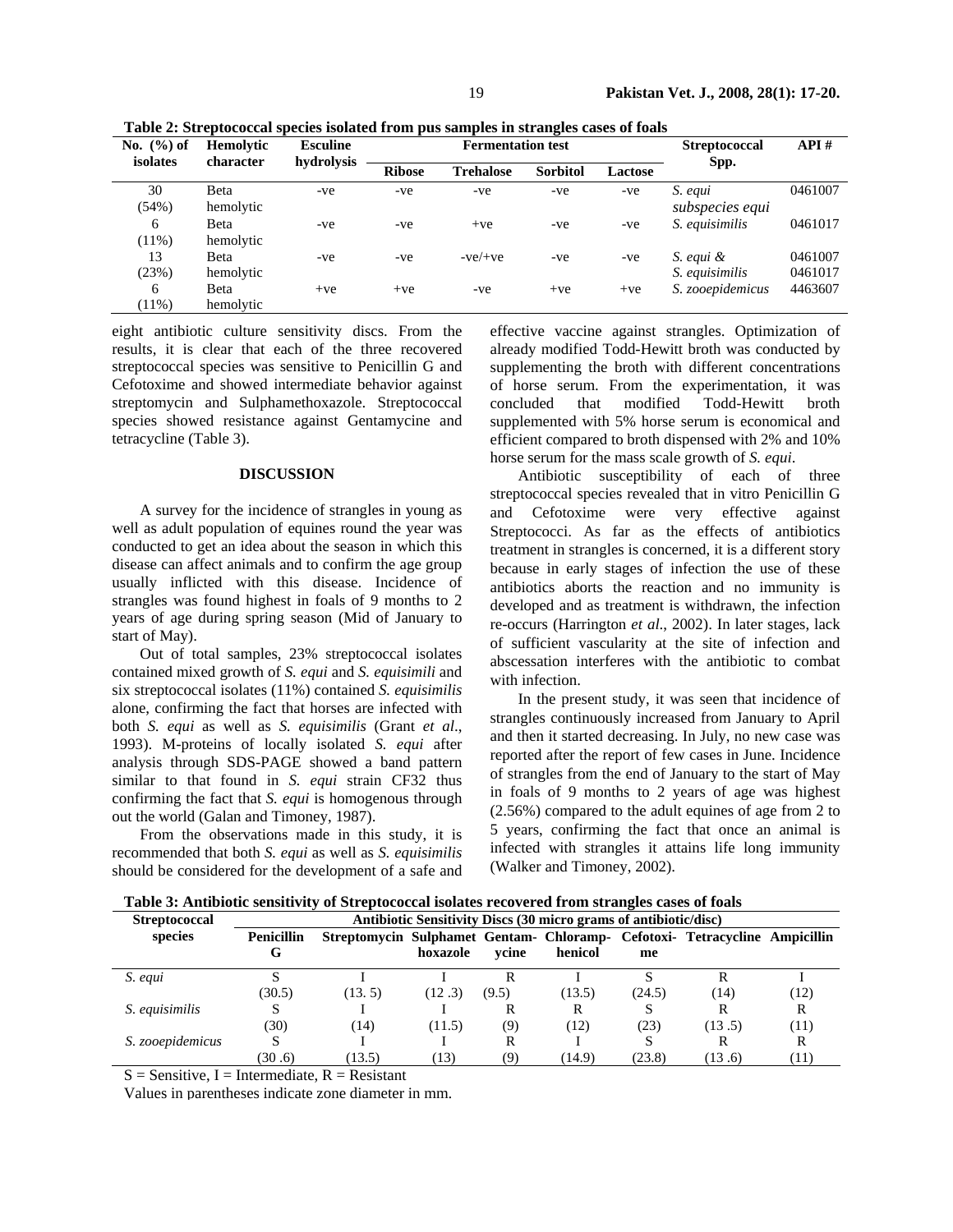| No. $(\% )$ of | Hemolytic    | <b>Esculine</b> |               | <b>Fermentation test</b> | <b>Streptococcal</b> | API#           |                  |         |
|----------------|--------------|-----------------|---------------|--------------------------|----------------------|----------------|------------------|---------|
| isolates       | character    | hydrolysis      | <b>Ribose</b> | <b>Trehalose</b>         | <b>Sorbitol</b>      | <b>Lactose</b> | Spp.             |         |
| 30             | <b>B</b> eta | -ve             | -ve           | -ve                      | -ve                  | -ve            | S. equi          | 0461007 |
| (54%)          | hemolytic    |                 |               |                          |                      |                | subspecies equi  |         |
| 6              | <b>B</b> eta | -ve             | -ve           | $+ve$                    | -ve                  | -ve            | S. equisimilis   | 0461017 |
| $(11\%)$       | hemolytic    |                 |               |                          |                      |                |                  |         |
| 13             | Beta         | -ve             | -ve           | $-ve/+ve$                | -ve                  | -ve            | S. equi &        | 0461007 |
| (23%)          | hemolytic    |                 |               |                          |                      |                | S. equisimilis   | 0461017 |
| 6              | Beta         | $+ve$           | $+ve$         | -ve                      | $+ve$                | $+ve$          | S. zooepidemicus | 4463607 |
| $(11\%)$       | hemolytic    |                 |               |                          |                      |                |                  |         |

**Table 2: Streptococcal species isolated from pus samples in strangles cases of foals** 

eight antibiotic culture sensitivity discs. From the results, it is clear that each of the three recovered streptococcal species was sensitive to Penicillin G and Cefotoxime and showed intermediate behavior against streptomycin and Sulphamethoxazole. Streptococcal species showed resistance against Gentamycine and tetracycline (Table 3).

#### **DISCUSSION**

A survey for the incidence of strangles in young as well as adult population of equines round the year was conducted to get an idea about the season in which this disease can affect animals and to confirm the age group usually inflicted with this disease. Incidence of strangles was found highest in foals of 9 months to 2 years of age during spring season (Mid of January to start of May).

Out of total samples, 23% streptococcal isolates contained mixed growth of *S. equi* and *S. equisimili* and six streptococcal isolates (11%) contained *S. equisimilis* alone, confirming the fact that horses are infected with both *S. equi* as well as *S. equisimilis* (Grant *et al*., 1993). M-proteins of locally isolated *S. equi* after analysis through SDS-PAGE showed a band pattern similar to that found in *S. equi* strain CF32 thus confirming the fact that *S. equi* is homogenous through out the world (Galan and Timoney, 1987).

From the observations made in this study, it is recommended that both *S. equi* as well as *S. equisimilis* should be considered for the development of a safe and effective vaccine against strangles. Optimization of already modified Todd-Hewitt broth was conducted by supplementing the broth with different concentrations of horse serum. From the experimentation, it was concluded that modified Todd-Hewitt broth supplemented with 5% horse serum is economical and efficient compared to broth dispensed with 2% and 10% horse serum for the mass scale growth of *S. equi*.

Antibiotic susceptibility of each of three streptococcal species revealed that in vitro Penicillin G and Cefotoxime were very effective against Streptococci. As far as the effects of antibiotics treatment in strangles is concerned, it is a different story because in early stages of infection the use of these antibiotics aborts the reaction and no immunity is developed and as treatment is withdrawn, the infection re-occurs (Harrington *et al*., 2002). In later stages, lack of sufficient vascularity at the site of infection and abscessation interferes with the antibiotic to combat with infection.

In the present study, it was seen that incidence of strangles continuously increased from January to April and then it started decreasing. In July, no new case was reported after the report of few cases in June. Incidence of strangles from the end of January to the start of May in foals of 9 months to 2 years of age was highest (2.56%) compared to the adult equines of age from 2 to 5 years, confirming the fact that once an animal is infected with strangles it attains life long immunity (Walker and Timoney, 2002).

**Streptococcal Antibiotic Sensitivity Discs (30 micro grams of antibiotic/disc) species Penicillin G Streptomycin Sulphamet Gentam-Chloramp-Cefotoxi-Tetracycline Ampicillin hoxazole ycine henicol me**  *S. equi S*  $(30.5)$ I (13. 5) I  $(12.3)$ R (9.5) I (13.5) S (24.5) R (14) I (12) *S. equisimilis* S (30) I (14) I (11.5) R (9) R (12) S (23) R  $(13.5)$ R (11) *S. zooepidemicus* S (30 .6) I (13.5) I (13) R (9) I  $(14.9)$ S (23.8) R (13 .6) R (11)

**Table 3: Antibiotic sensitivity of Streptococcal isolates recovered from strangles cases of foals** 

 $S =$  Sensitive, I = Intermediate, R = Resistant

Values in parentheses indicate zone diameter in mm.